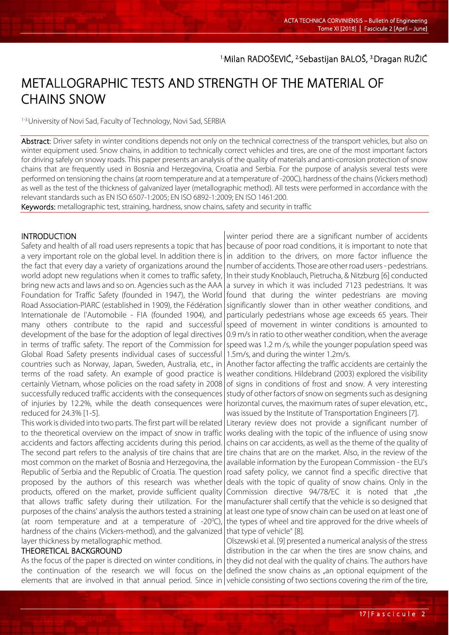<sup>1.</sup>Milan RADOSEVIC, <sup>2.</sup>Sebastijan BALOS, <sup>3.</sup>Dragan RUŽIC

# METALLOGRAPHIC TESTS AND STRENGTH OF THE MATERIAL OF CHAINS SNOW

1-3. University of Novi Sad, Faculty of Technology, Novi Sad, SERBIA

Abstract: Driver safety in winter conditions depends not only on the technical correctness of the transport vehicles, but also on winter equipment used. Snow chains, in addition to technically correct vehicles and tires, are one of the most important factors for driving safely on snowy roads. This paper presents an analysis of the quality of materials and anti-corrosion protection of snow chains that are frequently used in Bosnia and Herzegovina, Croatia and Serbia. For the purpose of analysis several tests were performed on tensioning the chains (at room temperature and at a temperature of -200C), hardness of the chains (Vickers method) as well as the test of the thickness of galvanized layer (metallographic method). All tests were performed in accordance with the relevant standards such as EN ISO 6507-1:2005; EN ISO 6892-1:2009; EN ISO 1461:200.

Keywords: metallographic test, straining, hardness, snow chains, safety and security in traffic

## **INTRODUCTION**

l

Safety and health of all road users represents a topic that has a very important role on the global level. In addition there is the fact that every day a variety of organizations around the world adopt new regulations when it comes to traffic safety, bring new acts and laws and so on. Agencies such as the AAA Foundation for Traffic Safety (founded in 1947), the World Road Association-PIARC (established in 1909), the Fédération Internationale de l'Automobile - FIA (founded 1904), and many others contribute to the rapid and successful development of the base for the adoption of legal directives in terms of traffic safety. The report of the Commission for Global Road Safety presents individual cases of successful countries such as Norway, Japan, Sweden, Australia, etc., in terms of the road safety. An example of good practice is certainly Vietnam, whose policies on the road safety in 2008 successfully reduced traffic accidents with the consequences of injuries by 12.2%, while the death consequences were reduced for 24.3% [1-5].

This work is divided into two parts. The first part will be related to the theoretical overview on the impact of snow in traffic accidents and factors affecting accidents during this period. The second part refers to the analysis of tire chains that are most common on the market of Bosnia and Herzegovina, the Republic of Serbia and the Republic of Croatia. The question proposed by the authors of this research was whether products, offered on the market, provide sufficient quality that allows traffic safety during their utilization. For the purposes of the chains' analysis the authors tested a straining (at room temperature and at a temperature of  $-20^{\circ}$ C), hardness of the chains (Vickers-method), and the galvanized layer thickness by metallographic method.

## THEORETICAL BACKGROUND

As the focus of the paper is directed on winter conditions, in the continuation of the research we will focus on the elements that are involved in that annual period. Since in vehicle consisting of two sections covering the rim of the tire,

winter period there are a significant number of accidents because of poor road conditions, it is important to note that in addition to the drivers, on more factor influence the number of accidents. Those are other road users - pedestrians. In their study Knoblauch, Pietrucha, & Nitzburg [6] conducted a survey in which it was included 7123 pedestrians. It was found that during the winter pedestrians are moving significantly slower than in other weather conditions, and particularly pedestrians whose age exceeds 65 years. Their speed of movement in winter conditions is amounted to 0.9 m/s in ratio to other weather condition, when the average speed was 1.2 m /s, while the younger population speed was 1.5m/s, and during the winter 1.2m/s.

Another factor affecting the traffic accidents are certainly the weather conditions. Hildebrand (2003) explored the visibility of signs in conditions of frost and snow. A very interesting study of other factors of snow on segments such as designing horizontal curves, the maximum rates of super elevation, etc., was issued by the Institute of Transportation Engineers [7].

Literary review does not provide a significant number of works dealing with the topic of the influence of using snow chains on car accidents, as well as the theme of the quality of tire chains that are on the market. Also, in the review of the available information by the European Commission - the EU's road safety policy, we cannot find a specific directive that deals with the topic of quality of snow chains. Only in the Commission directive 94/78/EC it is noted that "the manufacturer shall certify that the vehicle is so designed that at least one type of snow chain can be used on at least one of the types of wheel and tire approved for the drive wheels of that type of vehicle" [8].

Olszewski et al. [9] presented a numerical analysis of the stress distribution in the car when the tires are snow chains, and they did not deal with the quality of chains. The authors have defined the snow chains as "an optional equipment of the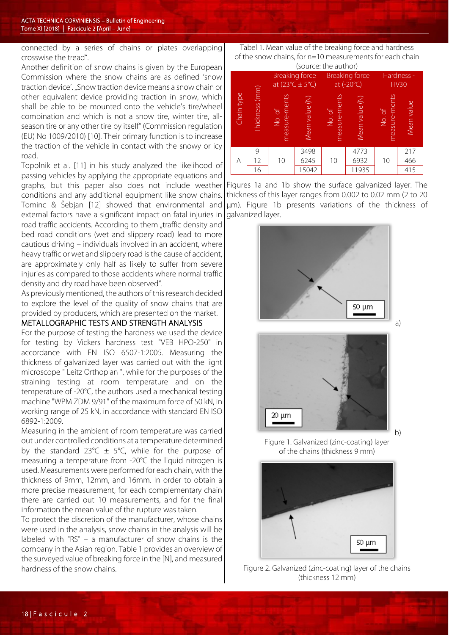connected by a series of chains or plates overlapping crosswise the tread".

Another definition of snow chains is given by the European Commission where the snow chains are as defined 'snow traction device'. "Snow traction device means a snow chain or other equivalent device providing traction in snow, which shall be able to be mounted onto the vehicle's tire/wheel combination and which is not a snow tire, winter tire, allseason tire or any other tire by itself" (Commission regulation (EU) No 1009/2010) [10]. Their primary function is to increase the traction of the vehicle in contact with the snowy or icy road.

Topolnik et al. [11] in his study analyzed the likelihood of passing vehicles by applying the appropriate equations and graphs, but this paper also does not include weather conditions and any additional equipment like snow chains. Tominc & Šebjan [12] showed that environmental and external factors have a significant impact on fatal injuries in

road traffic accidents. According to them "traffic density and bed road conditions (wet and slippery road) lead to more cautious driving – individuals involved in an accident, where heavy traffic or wet and slippery road is the cause of accident, are approximately only half as likely to suffer from severe injuries as compared to those accidents where normal traffic density and dry road have been observed".

As previously mentioned, the authors of this research decided to explore the level of the quality of snow chains that are provided by producers, which are presented on the market.

## METALLOGRAPHIC TESTS AND STRENGTH ANALYSIS

For the purpose of testing the hardness we used the device for testing by Vickers hardness test "VEB HPO-250" in accordance with EN ISO 6507-1:2005. Measuring the thickness of galvanized layer was carried out with the light microscope " Leitz Orthoplan ", while for the purposes of the straining testing at room temperature and on the temperature of -20°C, the authors used a mechanical testing machine "WPM ZDM 9/91" of the maximum force of 50 kN, in working range of 25 kN, in accordance with standard EN ISO 6892-1:2009.

Measuring in the ambient of room temperature was carried out under controlled conditions at a temperature determined by the standard 23°C  $\pm$  5°C, while for the purpose of measuring a temperature from -20°C the liquid nitrogen is used. Measurements were performed for each chain, with the thickness of 9mm, 12mm, and 16mm. In order to obtain a more precise measurement, for each complementary chain there are carried out 10 measurements, and for the final information the mean value of the rupture was taken.

To protect the discretion of the manufacturer, whose chains were used in the analysis, snow chains in the analysis will be labeled with "RS" – a manufacturer of snow chains is the company in the Asian region. Table 1 provides an overview of the surveyed value of breaking force in the [N], and measured hardness of the snow chains.

## Tabel 1. Mean value of the breaking force and hardness of the snow chains, for n=10 measurements for each chain

| (source: the author) |                |                                                            |                |                                     |                |                           |            |
|----------------------|----------------|------------------------------------------------------------|----------------|-------------------------------------|----------------|---------------------------|------------|
| Chain type           | Thickness (mm) | <b>Breaking force</b><br>at $(23^{\circ}C \pm 5^{\circ}C)$ |                | <b>Breaking force</b><br>at (-20°C) |                | Hardness -<br><b>HV30</b> |            |
|                      |                | measure-ments<br>No. of                                    | Mean value (N) | measure-ments<br>No. of             | Mean value (N) | measure-ments<br>No. of   | Mean value |
| A                    | 9              | 10                                                         | 3498           | 10                                  | 4773           | 10                        | 217        |
|                      | 12             |                                                            | 6245           |                                     | 6932           |                           | 466        |
|                      | 16             |                                                            | 15042          |                                     | 11935          |                           | 415        |

Figures 1a and 1b show the surface galvanized layer. The thickness of this layer ranges from 0.002 to 0.02 mm (2 to 20 µm). Figure 1b presents variations of the thickness of galvanized layer.



a)

b)



Figure 1. Galvanized (zinc-coating) layer of the chains (thickness 9 mm)



Figure 2. Galvanized (zinc-coating) layer of the chains (thickness 12 mm)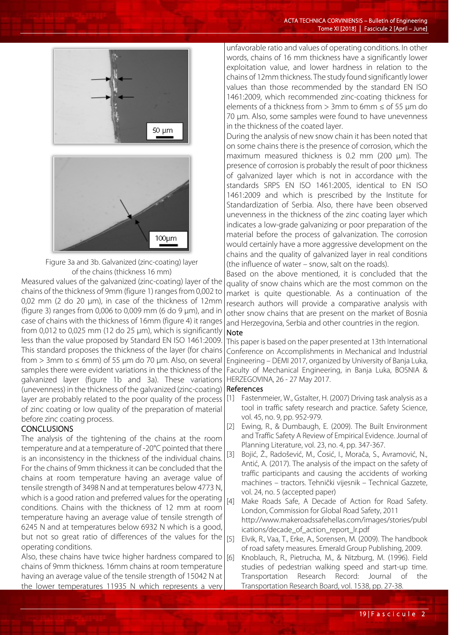



Figure 3a and 3b. Galvanized (zinc-coating) layer of the chains (thickness 16 mm)

Measured values of the galvanized (zinc-coating) layer of the chains of the thickness of 9mm (figure 1) ranges from 0,002 to 0,02 mm (2 do 20 µm), in case of the thickness of 12mm (figure 3) ranges from  $0.006$  to  $0.009$  mm (6 do 9  $\mu$ m), and in case of chains with the thickness of 16mm (figure 4) it ranges from 0,012 to 0,025 mm (12 do 25 µm), which is significantly less than the value proposed by Standard EN ISO 1461:2009. This standard proposes the thickness of the layer (for chains from > 3mm to  $\leq$  6mm) of 55 µm do 70 µm. Also, on several samples there were evident variations in the thickness of the galvanized layer (figure 1b and 3a). These variations (unevenness) in the thickness of the galvanized (zinc-coating) layer are probably related to the poor quality of the process of zinc coating or low quality of the preparation of material before zinc coating process.

### **CONCLUSIONS**

The analysis of the tightening of the chains at the room temperature and at a temperature of -20°C pointed that there is an inconsistency in the thickness of the individual chains. For the chains of 9mm thickness it can be concluded that the chains at room temperature having an average value of tensile strength of 3498 N and at temperatures below 4773 N, which is a good ration and preferred values for the operating conditions. Chains with the thickness of 12 mm at room temperature having an average value of tensile strength of 6245 N and at temperatures below 6932 N which is a good, but not so great ratio of differences of the values for the  $|_{[5]}$ operating conditions.

Also, these chains have twice higher hardness compared to  $|6|$ chains of 9mm thickness. 16mm chains at room temperature having an average value of the tensile strength of 15042 N at the lower temperatures 11935 N which represents a very

unfavorable ratio and values of operating conditions. In other words, chains of 16 mm thickness have a significantly lower exploitation value, and lower hardness in relation to the chains of 12mm thickness. The study found significantly lower values than those recommended by the standard EN ISO 1461:2009, which recommended zinc-coating thickness for elements of a thickness from  $> 3$ mm to 6mm  $\le$  of 55 µm do 70 µm. Also, some samples were found to have unevenness in the thickness of the coated layer.

During the analysis of new snow chain it has been noted that on some chains there is the presence of corrosion, which the maximum measured thickness is 0.2 mm (200 µm). The presence of corrosion is probably the result of poor thickness of galvanized layer which is not in accordance with the standards SRPS EN ISO 1461:2005, identical to EN ISO 1461:2009 and which is prescribed by the Institute for Standardization of Serbia. Also, there have been observed unevenness in the thickness of the zinc coating layer which indicates a low-grade galvanizing or poor preparation of the material before the process of galvanization. The corrosion would certainly have a more aggressive development on the chains and the quality of galvanized layer in real conditions (the influence of water – snow, salt on the roads).

Based on the above mentioned, it is concluded that the quality of snow chains which are the most common on the market is quite questionable. As a continuation of the research authors will provide a comparative analysis with other snow chains that are present on the market of Bosnia and Herzegovina, Serbia and other countries in the region.

### Note

This paper is based on the paper presented at 13th International Conference on Accomplishments in Mechanical and Industrial Engineering – DEMI 2017, organized by University of Banja Luka, Faculty of Mechanical Engineering, in Banja Luka, BOSNIA & HERZEGOVINA, 26 - 27 May 2017.

### References

- [1] Fastenmeier, W., Gstalter, H. (2007) Driving task analysis as a tool in traffic safety research and practice. Safety Science, vol. 45, no. 9, pp. 952-979.
- [2] Ewing, R., & Dumbaugh, E. (2009). The Built Environment and Traffic Safety A Review of Empirical Evidence. Journal of Planning Literature, vol. 23, no. 4, pp. 347-367.
- [3] Bojić, Ž., Radošević, M., Ćosić, I., Morača, S., Avramović, N., Antić, A. (2017). The analysis of the impact on the safety of traffic participants and causing the accidents of working machines – tractors. Tehnički vijesnik – Technical Gazzete, vol. 24, no. 5 (accepted paper)
- [4] Make Roads Safe, A Decade of Action for Road Safety. London, Commission for Global Road Safety, 2011 http://www.makeroadssafehellas.com/images/stories/publ ications/decade\_of\_action\_report\_lr.pdf
- Elvik, R., Vaa, T., Erke, A., Sorensen, M. (2009). The handbook of road safety measures. Emerald Group Publishing, 2009.
- Knoblauch, R., Pietrucha, M., & Nitzburg, M. (1996). Field studies of pedestrian walking speed and start-up time.<br>Transportation Research Record: Journal of the Transportation Research Record: Journal Transportation Research Board, vol. 1538, pp. 27-38.